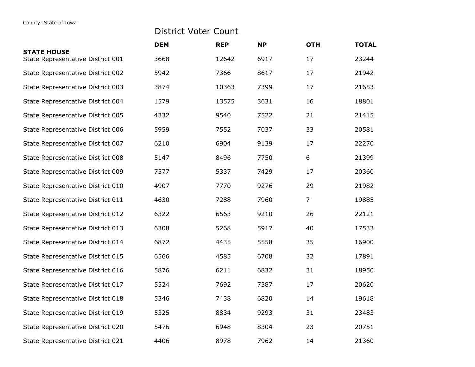## District Voter Count

|                                                         | <b>DEM</b> | <b>REP</b> | <b>NP</b> | <b>OTH</b> | <b>TOTAL</b> |
|---------------------------------------------------------|------------|------------|-----------|------------|--------------|
| <b>STATE HOUSE</b><br>State Representative District 001 | 3668       | 12642      | 6917      | 17         | 23244        |
| State Representative District 002                       | 5942       | 7366       | 8617      | 17         | 21942        |
| State Representative District 003                       | 3874       | 10363      | 7399      | 17         | 21653        |
| State Representative District 004                       | 1579       | 13575      | 3631      | 16         | 18801        |
| State Representative District 005                       | 4332       | 9540       | 7522      | 21         | 21415        |
| State Representative District 006                       | 5959       | 7552       | 7037      | 33         | 20581        |
| State Representative District 007                       | 6210       | 6904       | 9139      | 17         | 22270        |
| State Representative District 008                       | 5147       | 8496       | 7750      | 6          | 21399        |
| State Representative District 009                       | 7577       | 5337       | 7429      | 17         | 20360        |
| State Representative District 010                       | 4907       | 7770       | 9276      | 29         | 21982        |
| State Representative District 011                       | 4630       | 7288       | 7960      | 7          | 19885        |
| State Representative District 012                       | 6322       | 6563       | 9210      | 26         | 22121        |
| State Representative District 013                       | 6308       | 5268       | 5917      | 40         | 17533        |
| State Representative District 014                       | 6872       | 4435       | 5558      | 35         | 16900        |
| State Representative District 015                       | 6566       | 4585       | 6708      | 32         | 17891        |
| State Representative District 016                       | 5876       | 6211       | 6832      | 31         | 18950        |
| State Representative District 017                       | 5524       | 7692       | 7387      | 17         | 20620        |
| State Representative District 018                       | 5346       | 7438       | 6820      | 14         | 19618        |
| State Representative District 019                       | 5325       | 8834       | 9293      | 31         | 23483        |
| State Representative District 020                       | 5476       | 6948       | 8304      | 23         | 20751        |
| State Representative District 021                       | 4406       | 8978       | 7962      | 14         | 21360        |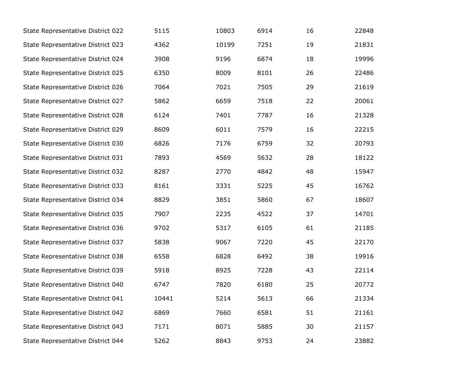| State Representative District 022 | 5115  | 10803 | 6914 | 16 | 22848 |
|-----------------------------------|-------|-------|------|----|-------|
| State Representative District 023 | 4362  | 10199 | 7251 | 19 | 21831 |
| State Representative District 024 | 3908  | 9196  | 6874 | 18 | 19996 |
| State Representative District 025 | 6350  | 8009  | 8101 | 26 | 22486 |
| State Representative District 026 | 7064  | 7021  | 7505 | 29 | 21619 |
| State Representative District 027 | 5862  | 6659  | 7518 | 22 | 20061 |
| State Representative District 028 | 6124  | 7401  | 7787 | 16 | 21328 |
| State Representative District 029 | 8609  | 6011  | 7579 | 16 | 22215 |
| State Representative District 030 | 6826  | 7176  | 6759 | 32 | 20793 |
| State Representative District 031 | 7893  | 4569  | 5632 | 28 | 18122 |
| State Representative District 032 | 8287  | 2770  | 4842 | 48 | 15947 |
| State Representative District 033 | 8161  | 3331  | 5225 | 45 | 16762 |
| State Representative District 034 | 8829  | 3851  | 5860 | 67 | 18607 |
| State Representative District 035 | 7907  | 2235  | 4522 | 37 | 14701 |
| State Representative District 036 | 9702  | 5317  | 6105 | 61 | 21185 |
| State Representative District 037 | 5838  | 9067  | 7220 | 45 | 22170 |
| State Representative District 038 | 6558  | 6828  | 6492 | 38 | 19916 |
| State Representative District 039 | 5918  | 8925  | 7228 | 43 | 22114 |
| State Representative District 040 | 6747  | 7820  | 6180 | 25 | 20772 |
| State Representative District 041 | 10441 | 5214  | 5613 | 66 | 21334 |
| State Representative District 042 | 6869  | 7660  | 6581 | 51 | 21161 |
| State Representative District 043 | 7171  | 8071  | 5885 | 30 | 21157 |
| State Representative District 044 | 5262  | 8843  | 9753 | 24 | 23882 |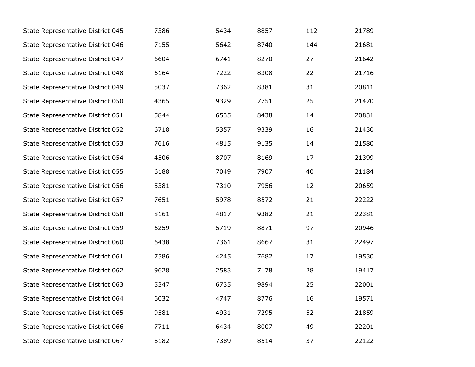| State Representative District 045 | 7386 | 5434 | 8857 | 112 | 21789 |
|-----------------------------------|------|------|------|-----|-------|
| State Representative District 046 | 7155 | 5642 | 8740 | 144 | 21681 |
| State Representative District 047 | 6604 | 6741 | 8270 | 27  | 21642 |
| State Representative District 048 | 6164 | 7222 | 8308 | 22  | 21716 |
| State Representative District 049 | 5037 | 7362 | 8381 | 31  | 20811 |
| State Representative District 050 | 4365 | 9329 | 7751 | 25  | 21470 |
| State Representative District 051 | 5844 | 6535 | 8438 | 14  | 20831 |
| State Representative District 052 | 6718 | 5357 | 9339 | 16  | 21430 |
| State Representative District 053 | 7616 | 4815 | 9135 | 14  | 21580 |
| State Representative District 054 | 4506 | 8707 | 8169 | 17  | 21399 |
| State Representative District 055 | 6188 | 7049 | 7907 | 40  | 21184 |
| State Representative District 056 | 5381 | 7310 | 7956 | 12  | 20659 |
| State Representative District 057 | 7651 | 5978 | 8572 | 21  | 22222 |
| State Representative District 058 | 8161 | 4817 | 9382 | 21  | 22381 |
| State Representative District 059 | 6259 | 5719 | 8871 | 97  | 20946 |
| State Representative District 060 | 6438 | 7361 | 8667 | 31  | 22497 |
| State Representative District 061 | 7586 | 4245 | 7682 | 17  | 19530 |
| State Representative District 062 | 9628 | 2583 | 7178 | 28  | 19417 |
| State Representative District 063 | 5347 | 6735 | 9894 | 25  | 22001 |
| State Representative District 064 | 6032 | 4747 | 8776 | 16  | 19571 |
| State Representative District 065 | 9581 | 4931 | 7295 | 52  | 21859 |
| State Representative District 066 | 7711 | 6434 | 8007 | 49  | 22201 |
| State Representative District 067 | 6182 | 7389 | 8514 | 37  | 22122 |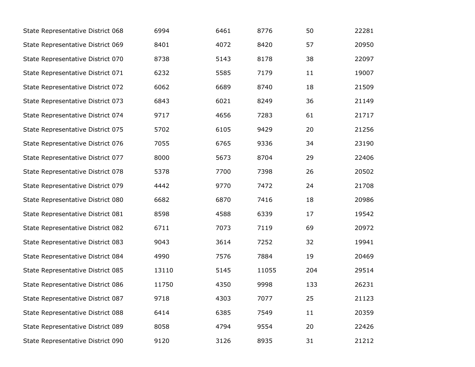| State Representative District 068 | 6994  | 6461 | 8776  | 50  | 22281 |
|-----------------------------------|-------|------|-------|-----|-------|
| State Representative District 069 | 8401  | 4072 | 8420  | 57  | 20950 |
| State Representative District 070 | 8738  | 5143 | 8178  | 38  | 22097 |
| State Representative District 071 | 6232  | 5585 | 7179  | 11  | 19007 |
| State Representative District 072 | 6062  | 6689 | 8740  | 18  | 21509 |
| State Representative District 073 | 6843  | 6021 | 8249  | 36  | 21149 |
| State Representative District 074 | 9717  | 4656 | 7283  | 61  | 21717 |
| State Representative District 075 | 5702  | 6105 | 9429  | 20  | 21256 |
| State Representative District 076 | 7055  | 6765 | 9336  | 34  | 23190 |
| State Representative District 077 | 8000  | 5673 | 8704  | 29  | 22406 |
| State Representative District 078 | 5378  | 7700 | 7398  | 26  | 20502 |
| State Representative District 079 | 4442  | 9770 | 7472  | 24  | 21708 |
| State Representative District 080 | 6682  | 6870 | 7416  | 18  | 20986 |
| State Representative District 081 | 8598  | 4588 | 6339  | 17  | 19542 |
| State Representative District 082 | 6711  | 7073 | 7119  | 69  | 20972 |
| State Representative District 083 | 9043  | 3614 | 7252  | 32  | 19941 |
| State Representative District 084 | 4990  | 7576 | 7884  | 19  | 20469 |
| State Representative District 085 | 13110 | 5145 | 11055 | 204 | 29514 |
| State Representative District 086 | 11750 | 4350 | 9998  | 133 | 26231 |
| State Representative District 087 | 9718  | 4303 | 7077  | 25  | 21123 |
| State Representative District 088 | 6414  | 6385 | 7549  | 11  | 20359 |
| State Representative District 089 | 8058  | 4794 | 9554  | 20  | 22426 |
| State Representative District 090 | 9120  | 3126 | 8935  | 31  | 21212 |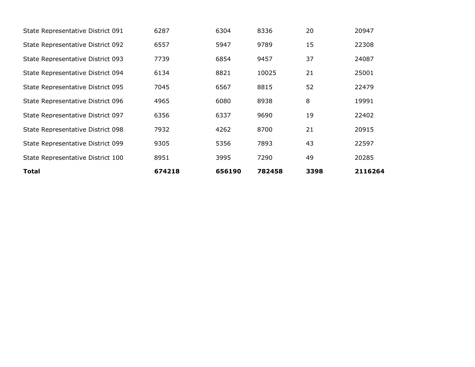| Total                             | 674218 | 656190 | 782458 | 3398 | 2116264 |
|-----------------------------------|--------|--------|--------|------|---------|
| State Representative District 100 | 8951   | 3995   | 7290   | 49   | 20285   |
| State Representative District 099 | 9305   | 5356   | 7893   | 43   | 22597   |
| State Representative District 098 | 7932   | 4262   | 8700   | 21   | 20915   |
| State Representative District 097 | 6356   | 6337   | 9690   | 19   | 22402   |
| State Representative District 096 | 4965   | 6080   | 8938   | 8    | 19991   |
| State Representative District 095 | 7045   | 6567   | 8815   | 52   | 22479   |
| State Representative District 094 | 6134   | 8821   | 10025  | 21   | 25001   |
| State Representative District 093 | 7739   | 6854   | 9457   | 37   | 24087   |
| State Representative District 092 | 6557   | 5947   | 9789   | 15   | 22308   |
| State Representative District 091 | 6287   | 6304   | 8336   | 20   | 20947   |